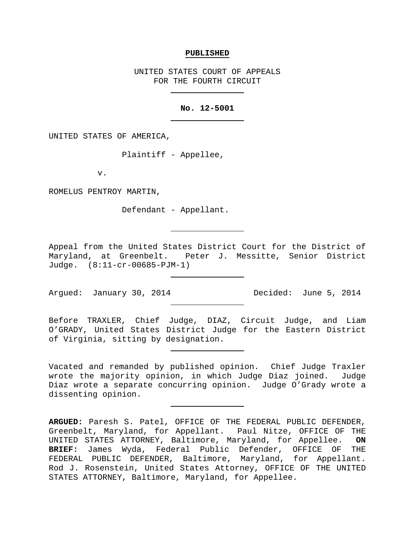#### **PUBLISHED**

UNITED STATES COURT OF APPEALS FOR THE FOURTH CIRCUIT

## **No. 12-5001**

UNITED STATES OF AMERICA,

Plaintiff - Appellee,

v.

ROMELUS PENTROY MARTIN,

Defendant - Appellant.

Appeal from the United States District Court for the District of Maryland, at Greenbelt. Peter J. Messitte, Senior District Judge. (8:11-cr-00685-PJM-1)

Argued: January 30, 2014 Decided: June 5, 2014

Before TRAXLER, Chief Judge, DIAZ, Circuit Judge, and Liam O'GRADY, United States District Judge for the Eastern District of Virginia, sitting by designation.

Vacated and remanded by published opinion. Chief Judge Traxler wrote the majority opinion, in which Judge Diaz joined. Judge Diaz wrote a separate concurring opinion. Judge O'Grady wrote a dissenting opinion.

**ARGUED:** Paresh S. Patel, OFFICE OF THE FEDERAL PUBLIC DEFENDER, Greenbelt, Maryland, for Appellant. Paul Nitze, OFFICE OF THE UNITED STATES ATTORNEY, Baltimore, Maryland, for Appellee. **ON BRIEF:** James Wyda, Federal Public Defender, OFFICE OF THE FEDERAL PUBLIC DEFENDER, Baltimore, Maryland, for Appellant. Rod J. Rosenstein, United States Attorney, OFFICE OF THE UNITED STATES ATTORNEY, Baltimore, Maryland, for Appellee.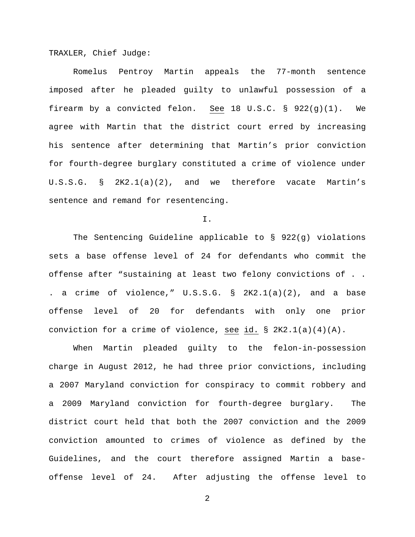TRAXLER, Chief Judge:

Romelus Pentroy Martin appeals the 77-month sentence imposed after he pleaded guilty to unlawful possession of a firearm by a convicted felon. See 18 U.S.C. §  $922(q)(1)$ . We agree with Martin that the district court erred by increasing his sentence after determining that Martin's prior conviction for fourth-degree burglary constituted a crime of violence under U.S.S.G. § 2K2.1(a)(2), and we therefore vacate Martin's sentence and remand for resentencing.

I.

The Sentencing Guideline applicable to § 922(g) violations sets a base offense level of 24 for defendants who commit the offense after "sustaining at least two felony convictions of . . . a crime of violence," U.S.S.G. § 2K2.1(a)(2), and a base offense level of 20 for defendants with only one prior conviction for a crime of violence, see id. § 2K2.1(a)(4)(A).

When Martin pleaded guilty to the felon-in-possession charge in August 2012, he had three prior convictions, including a 2007 Maryland conviction for conspiracy to commit robbery and a 2009 Maryland conviction for fourth-degree burglary. The district court held that both the 2007 conviction and the 2009 conviction amounted to crimes of violence as defined by the Guidelines, and the court therefore assigned Martin a baseoffense level of 24. After adjusting the offense level to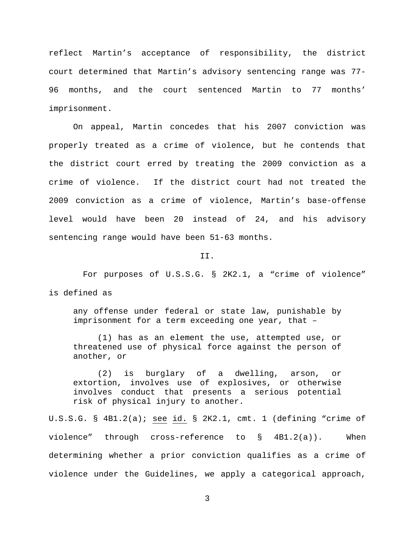reflect Martin's acceptance of responsibility, the district court determined that Martin's advisory sentencing range was 77- 96 months, and the court sentenced Martin to 77 months' imprisonment.

On appeal, Martin concedes that his 2007 conviction was properly treated as a crime of violence, but he contends that the district court erred by treating the 2009 conviction as a crime of violence. If the district court had not treated the 2009 conviction as a crime of violence, Martin's base-offense level would have been 20 instead of 24, and his advisory sentencing range would have been 51-63 months.

### II.

 For purposes of U.S.S.G. § 2K2.1, a "crime of violence" is defined as

any offense under federal or state law, punishable by imprisonment for a term exceeding one year, that –

(1) has as an element the use, attempted use, or threatened use of physical force against the person of another, or

(2) is burglary of a dwelling, arson, or extortion, involves use of explosives, or otherwise involves conduct that presents a serious potential risk of physical injury to another.

U.S.S.G. § 4B1.2(a); see id. § 2K2.1, cmt. 1 (defining "crime of violence" through cross-reference to § 4B1.2(a)). When determining whether a prior conviction qualifies as a crime of violence under the Guidelines, we apply a categorical approach,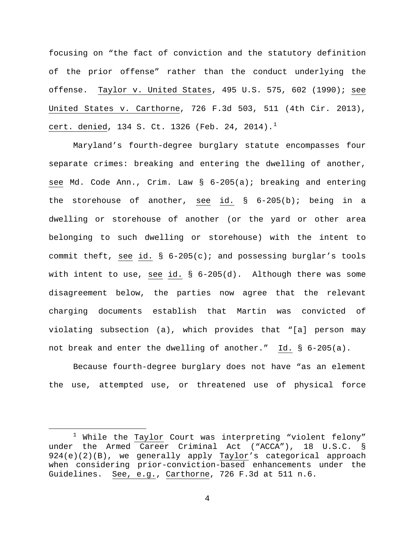focusing on "the fact of conviction and the statutory definition of the prior offense" rather than the conduct underlying the offense. Taylor v. United States, 495 U.S. 575, 602 (1990); see United States v. Carthorne, 726 F.3d 503, 511 (4th Cir. 2013), cert. denied, [1](#page-3-0)34 S. Ct. 1326 (Feb. 24, 2014).<sup>1</sup>

Maryland's fourth-degree burglary statute encompasses four separate crimes: breaking and entering the dwelling of another, see Md. Code Ann., Crim. Law § 6-205(a); breaking and entering the storehouse of another, see id. § 6-205(b); being in a dwelling or storehouse of another (or the yard or other area belonging to such dwelling or storehouse) with the intent to commit theft, see id. § 6-205(c); and possessing burglar's tools with intent to use, see id. § 6-205(d). Although there was some disagreement below, the parties now agree that the relevant charging documents establish that Martin was convicted of violating subsection (a), which provides that "[a] person may not break and enter the dwelling of another." Id. § 6-205(a).

Because fourth-degree burglary does not have "as an element the use, attempted use, or threatened use of physical force

<span id="page-3-0"></span> $1$  While the Taylor Court was interpreting "violent felony" under the Armed Career Criminal Act ("ACCA"), 18 U.S.C. § 924(e)(2)(B), we generally apply Taylor's categorical approach when considering prior-conviction-based enhancements under the Guidelines. See, e.g., Carthorne, 726 F.3d at 511 n.6.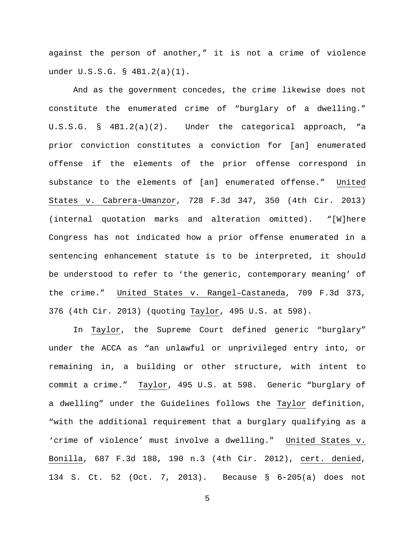against the person of another," it is not a crime of violence under U.S.S.G. § 4B1.2(a)(1).

And as the government concedes, the crime likewise does not constitute the enumerated crime of "burglary of a dwelling." U.S.S.G. § 4B1.2(a)(2). Under the categorical approach, "a prior conviction constitutes a conviction for [an] enumerated offense if the elements of the prior offense correspond in substance to the elements of [an] enumerated offense." United States v. Cabrera-Umanzor, 728 F.3d 347, 350 (4th Cir. 2013) (internal quotation marks and alteration omitted). "[W]here Congress has not indicated how a prior offense enumerated in a sentencing enhancement statute is to be interpreted, it should be understood to refer to 'the generic, contemporary meaning' of the crime." United States v. Rangel–Castaneda, 709 F.3d 373, 376 (4th Cir. 2013) (quoting Taylor, 495 U.S. at 598).

In Taylor, the Supreme Court defined generic "burglary" under the ACCA as "an unlawful or unprivileged entry into, or remaining in, a building or other structure, with intent to commit a crime." Taylor, 495 U.S. at 598. Generic "burglary of a dwelling" under the Guidelines follows the Taylor definition, "with the additional requirement that a burglary qualifying as a 'crime of violence' must involve a dwelling." United States v. Bonilla, 687 F.3d 188, 190 n.3 (4th Cir. 2012), cert. denied, 134 S. Ct. 52 (Oct. 7, 2013). Because § 6-205(a) does not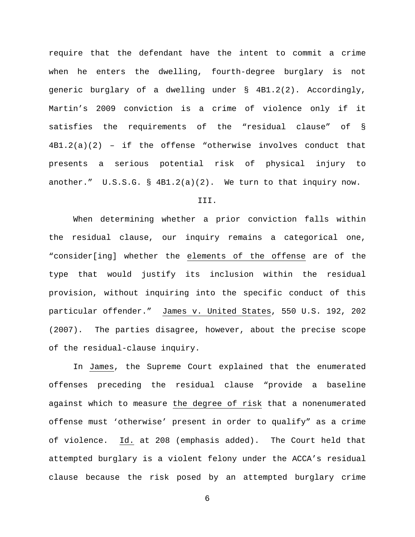require that the defendant have the intent to commit a crime when he enters the dwelling, fourth-degree burglary is not generic burglary of a dwelling under § 4B1.2(2). Accordingly, Martin's 2009 conviction is a crime of violence only if it satisfies the requirements of the "residual clause" of § 4B1.2(a)(2) – if the offense "otherwise involves conduct that presents a serious potential risk of physical injury to another." U.S.S.G. § 4B1.2(a)(2). We turn to that inquiry now.

# III.

When determining whether a prior conviction falls within the residual clause, our inquiry remains a categorical one, "consider[ing] whether the elements of the offense are of the type that would justify its inclusion within the residual provision, without inquiring into the specific conduct of this particular offender." James v. United States, 550 U.S. 192, 202 (2007). The parties disagree, however, about the precise scope of the residual-clause inquiry.

In James, the Supreme Court explained that the enumerated offenses preceding the residual clause "provide a baseline against which to measure the degree of risk that a nonenumerated offense must 'otherwise' present in order to qualify" as a crime of violence. Id. at 208 (emphasis added). The Court held that attempted burglary is a violent felony under the ACCA's residual clause because the risk posed by an attempted burglary crime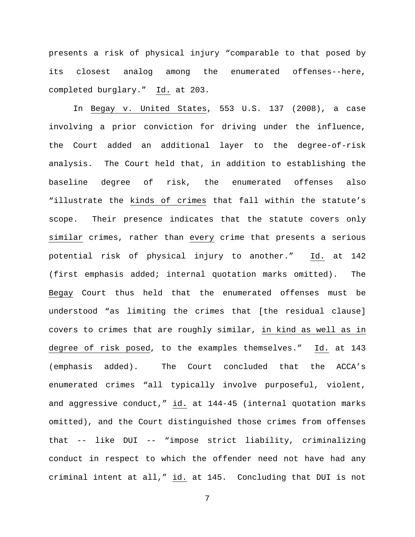presents a risk of physical injury "comparable to that posed by its closest analog among the enumerated offenses--here, completed burglary." Id. at 203.

In Begay v. United States, 553 U.S. 137 (2008), a case involving a prior conviction for driving under the influence, the Court added an additional layer to the degree-of-risk analysis. The Court held that, in addition to establishing the baseline degree of risk, the enumerated offenses also "illustrate the kinds of crimes that fall within the statute's scope. Their presence indicates that the statute covers only similar crimes, rather than every crime that presents a serious potential risk of physical injury to another." Id. at 142 (first emphasis added; internal quotation marks omitted). The Begay Court thus held that the enumerated offenses must be understood "as limiting the crimes that [the residual clause] covers to crimes that are roughly similar, in kind as well as in degree of risk posed, to the examples themselves." Id. at 143 (emphasis added). The Court concluded that the ACCA's enumerated crimes "all typically involve purposeful, violent, and aggressive conduct," id. at 144-45 (internal quotation marks omitted), and the Court distinguished those crimes from offenses that -- like DUI -- "impose strict liability, criminalizing conduct in respect to which the offender need not have had any criminal intent at all," id. at 145. Concluding that DUI is not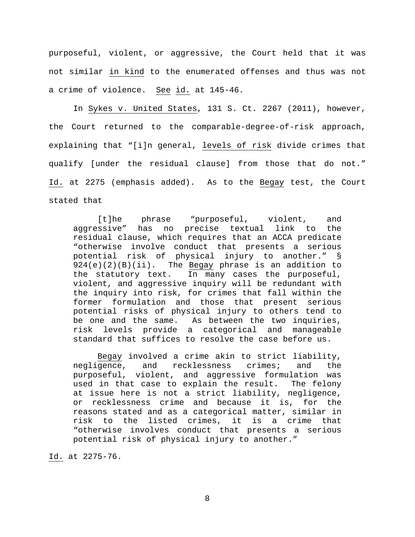purposeful, violent, or aggressive, the Court held that it was not similar in kind to the enumerated offenses and thus was not a crime of violence. See id. at 145-46.

In Sykes v. United States, 131 S. Ct. 2267 (2011), however, the Court returned to the comparable-degree-of-risk approach, explaining that "[i]n general, levels of risk divide crimes that qualify [under the residual clause] from those that do not." Id. at 2275 (emphasis added). As to the Begay test, the Court stated that

[t]he phrase "purposeful, violent, and aggressive" has no precise textual link to the residual clause, which requires that an ACCA predicate "otherwise involve conduct that presents a serious potential risk of physical injury to another." § 924(e)(2)(B)(ii). The Begay phrase is an addition to the statutory text. In many cases the purposeful, violent, and aggressive inquiry will be redundant with the inquiry into risk, for crimes that fall within the former formulation and those that present serious potential risks of physical injury to others tend to be one and the same. As between the two inquiries, risk levels provide a categorical and manageable standard that suffices to resolve the case before us.

Begay involved a crime akin to strict liability,<br>negligence, and recklessness crimes; and the recklessness crimes; and the purposeful, violent, and aggressive formulation was used in that case to explain the result. The felony at issue here is not a strict liability, negligence, or recklessness crime and because it is, for the reasons stated and as a categorical matter, similar in risk to the listed crimes, it is a crime that "otherwise involves conduct that presents a serious potential risk of physical injury to another."

Id. at 2275-76.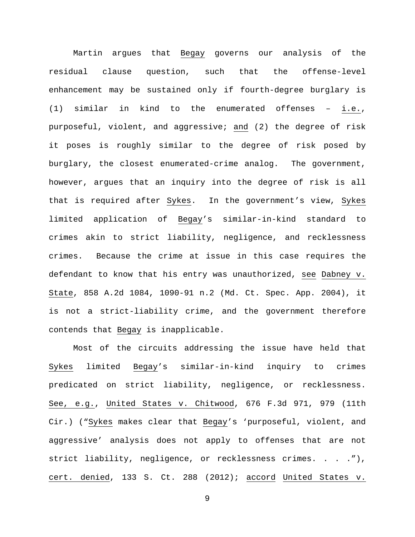Martin argues that Begay governs our analysis of the residual clause question, such that the offense-level enhancement may be sustained only if fourth-degree burglary is (1) similar in kind to the enumerated offenses – i.e., purposeful, violent, and aggressive; and (2) the degree of risk it poses is roughly similar to the degree of risk posed by burglary, the closest enumerated-crime analog. The government, however, argues that an inquiry into the degree of risk is all that is required after Sykes. In the government's view, Sykes limited application of Begay's similar-in-kind standard to crimes akin to strict liability, negligence, and recklessness crimes. Because the crime at issue in this case requires the defendant to know that his entry was unauthorized, see Dabney v. State, 858 A.2d 1084, 1090-91 n.2 (Md. Ct. Spec. App. 2004), it is not a strict-liability crime, and the government therefore contends that Begay is inapplicable.

Most of the circuits addressing the issue have held that Sykes limited Begay's similar-in-kind inquiry to crimes predicated on strict liability, negligence, or recklessness. See, e.g., United States v. Chitwood, 676 F.3d 971, 979 (11th Cir.) ("Sykes makes clear that Begay's 'purposeful, violent, and aggressive' analysis does not apply to offenses that are not strict liability, negligence, or recklessness crimes. . . ."), cert. denied, 133 S. Ct. 288 (2012); accord United States v.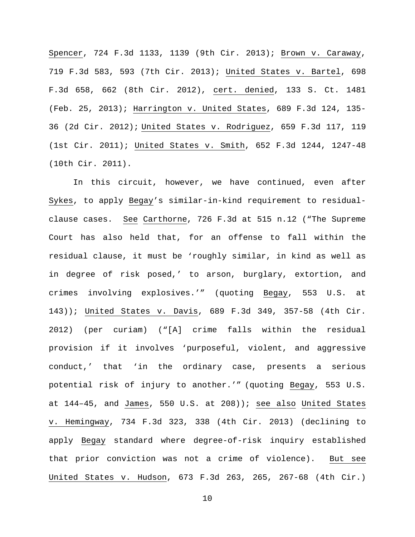Spencer, 724 F.3d 1133, 1139 (9th Cir. 2013); Brown v. Caraway, 719 F.3d 583, 593 (7th Cir. 2013); United States v. Bartel, 698 F.3d 658, 662 (8th Cir. 2012), cert. denied, 133 S. Ct. 1481 (Feb. 25, 2013); Harrington v. United States, 689 F.3d 124, 135- 36 (2d Cir. 2012); United States v. Rodriguez, 659 F.3d 117, 119 (1st Cir. 2011); United States v. Smith, 652 F.3d 1244, 1247-48 (10th Cir. 2011).

In this circuit, however, we have continued, even after Sykes, to apply Begay's similar-in-kind requirement to residualclause cases. See Carthorne, 726 F.3d at 515 n.12 ("The Supreme Court has also held that, for an offense to fall within the residual clause, it must be 'roughly similar, in kind as well as in degree of risk posed,' to arson, burglary, extortion, and crimes involving explosives.'" (quoting Begay, 553 U.S. at 143)); United States v. Davis, 689 F.3d 349, 357-58 (4th Cir. 2012) (per curiam) ("[A] crime falls within the residual provision if it involves 'purposeful, violent, and aggressive conduct,' that 'in the ordinary case, presents a serious potential risk of injury to another.'" (quoting Begay, 553 U.S. at 144–45, and James, 550 U.S. at 208)); see also United States v. Hemingway, 734 F.3d 323, 338 (4th Cir. 2013) (declining to apply Begay standard where degree-of-risk inquiry established that prior conviction was not a crime of violence). But see United States v. Hudson, 673 F.3d 263, 265, 267-68 (4th Cir.)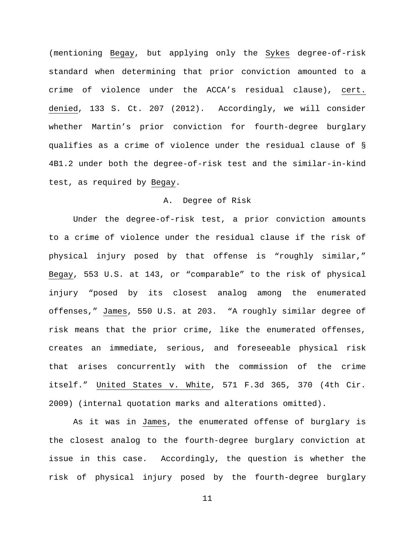(mentioning Begay, but applying only the Sykes degree-of-risk standard when determining that prior conviction amounted to a crime of violence under the ACCA's residual clause), cert. denied, 133 S. Ct. 207 (2012). Accordingly, we will consider whether Martin's prior conviction for fourth-degree burglary qualifies as a crime of violence under the residual clause of § 4B1.2 under both the degree-of-risk test and the similar-in-kind test, as required by Begay.

# A. Degree of Risk

Under the degree-of-risk test, a prior conviction amounts to a crime of violence under the residual clause if the risk of physical injury posed by that offense is "roughly similar," Begay, 553 U.S. at 143, or "comparable" to the risk of physical injury "posed by its closest analog among the enumerated offenses," James, 550 U.S. at 203. "A roughly similar degree of risk means that the prior crime, like the enumerated offenses, creates an immediate, serious, and foreseeable physical risk that arises concurrently with the commission of the crime itself." United States v. White, 571 F.3d 365, 370 (4th Cir. 2009) (internal quotation marks and alterations omitted).

As it was in James, the enumerated offense of burglary is the closest analog to the fourth-degree burglary conviction at issue in this case. Accordingly, the question is whether the risk of physical injury posed by the fourth-degree burglary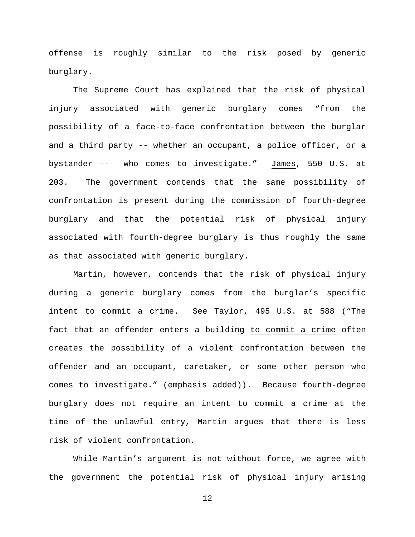offense is roughly similar to the risk posed by generic burglary.

The Supreme Court has explained that the risk of physical injury associated with generic burglary comes "from the possibility of a face-to-face confrontation between the burglar and a third party -- whether an occupant, a police officer, or a bystander -- who comes to investigate." James, 550 U.S. at 203. The government contends that the same possibility of confrontation is present during the commission of fourth-degree burglary and that the potential risk of physical injury associated with fourth-degree burglary is thus roughly the same as that associated with generic burglary.

Martin, however, contends that the risk of physical injury during a generic burglary comes from the burglar's specific intent to commit a crime. See Taylor, 495 U.S. at 588 ("The fact that an offender enters a building to commit a crime often creates the possibility of a violent confrontation between the offender and an occupant, caretaker, or some other person who comes to investigate." (emphasis added)). Because fourth-degree burglary does not require an intent to commit a crime at the time of the unlawful entry, Martin argues that there is less risk of violent confrontation.

While Martin's argument is not without force, we agree with the government the potential risk of physical injury arising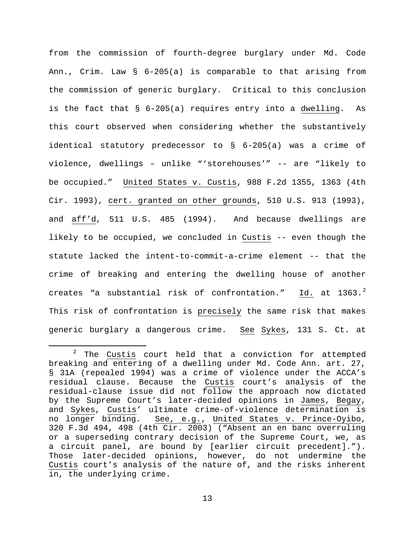from the commission of fourth-degree burglary under Md. Code Ann., Crim. Law § 6-205(a) is comparable to that arising from the commission of generic burglary. Critical to this conclusion is the fact that § 6-205(a) requires entry into a dwelling. As this court observed when considering whether the substantively identical statutory predecessor to § 6-205(a) was a crime of violence, dwellings – unlike "'storehouses'" -- are "likely to be occupied." United States v. Custis, 988 F.2d 1355, 1363 (4th Cir. 1993), cert. granted on other grounds, 510 U.S. 913 (1993), and aff'd, 511 U.S. 485 (1994). And because dwellings are likely to be occupied, we concluded in Custis -- even though the statute lacked the intent-to-commit-a-crime element -- that the crime of breaking and entering the dwelling house of another creates "a substantial risk of confrontation."  $\underline{\text{Id.}}$  at 1363. $^2$  $^2$ This risk of confrontation is precisely the same risk that makes generic burglary a dangerous crime. See Sykes, 131 S. Ct. at

<span id="page-12-0"></span> $2$  The Custis court held that a conviction for attempted breaking and entering of a dwelling under Md. Code Ann. art. 27, § 31A (repealed 1994) was a crime of violence under the ACCA's residual clause. Because the Custis court's analysis of the residual-clause issue did not follow the approach now dictated by the Supreme Court's later-decided opinions in James, Begay, and Sykes, Custis' ultimate crime-of-violence determination is no longer binding. See, e.g., United States v. Prince-Oyibo, 320 F.3d 494, 498 (4th Cir. 2003) ("Absent an en banc overruling or a superseding contrary decision of the Supreme Court, we, as a circuit panel, are bound by [earlier circuit precedent]."). Those later-decided opinions, however, do not undermine the Custis court's analysis of the nature of, and the risks inherent in, the underlying crime.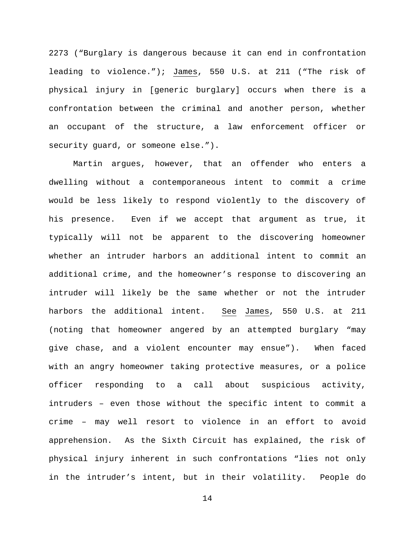2273 ("Burglary is dangerous because it can end in confrontation leading to violence."); James, 550 U.S. at 211 ("The risk of physical injury in [generic burglary] occurs when there is a confrontation between the criminal and another person, whether an occupant of the structure, a law enforcement officer or security guard, or someone else.").

Martin argues, however, that an offender who enters a dwelling without a contemporaneous intent to commit a crime would be less likely to respond violently to the discovery of his presence. Even if we accept that argument as true, it typically will not be apparent to the discovering homeowner whether an intruder harbors an additional intent to commit an additional crime, and the homeowner's response to discovering an intruder will likely be the same whether or not the intruder harbors the additional intent. See James, 550 U.S. at 211 (noting that homeowner angered by an attempted burglary "may give chase, and a violent encounter may ensue"). When faced with an angry homeowner taking protective measures, or a police officer responding to a call about suspicious activity, intruders – even those without the specific intent to commit a crime – may well resort to violence in an effort to avoid apprehension. As the Sixth Circuit has explained, the risk of physical injury inherent in such confrontations "lies not only in the intruder's intent, but in their volatility. People do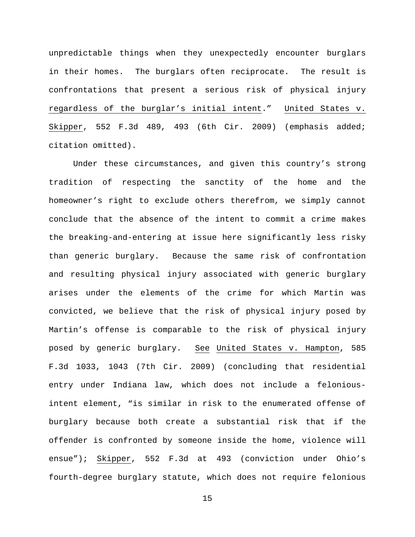unpredictable things when they unexpectedly encounter burglars in their homes. The burglars often reciprocate. The result is confrontations that present a serious risk of physical injury regardless of the burglar's initial intent." United States v. Skipper, 552 F.3d 489, 493 (6th Cir. 2009) (emphasis added; citation omitted).

Under these circumstances, and given this country's strong tradition of respecting the sanctity of the home and the homeowner's right to exclude others therefrom, we simply cannot conclude that the absence of the intent to commit a crime makes the breaking-and-entering at issue here significantly less risky than generic burglary. Because the same risk of confrontation and resulting physical injury associated with generic burglary arises under the elements of the crime for which Martin was convicted, we believe that the risk of physical injury posed by Martin's offense is comparable to the risk of physical injury posed by generic burglary. See United States v. Hampton, 585 F.3d 1033, 1043 (7th Cir. 2009) (concluding that residential entry under Indiana law, which does not include a feloniousintent element, "is similar in risk to the enumerated offense of burglary because both create a substantial risk that if the offender is confronted by someone inside the home, violence will ensue"); Skipper, 552 F.3d at 493 (conviction under Ohio's fourth-degree burglary statute, which does not require felonious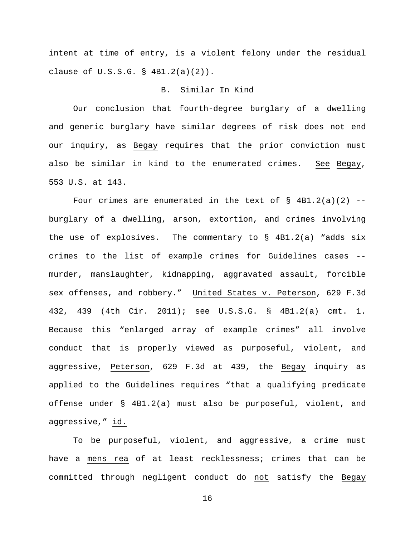intent at time of entry, is a violent felony under the residual clause of U.S.S.G. § 4B1.2(a)(2)).

# B. Similar In Kind

Our conclusion that fourth-degree burglary of a dwelling and generic burglary have similar degrees of risk does not end our inquiry, as Begay requires that the prior conviction must also be similar in kind to the enumerated crimes. See Begay, 553 U.S. at 143.

Four crimes are enumerated in the text of  $\S$  4B1.2(a)(2) -burglary of a dwelling, arson, extortion, and crimes involving the use of explosives. The commentary to  $\S$  4B1.2(a) "adds six crimes to the list of example crimes for Guidelines cases - murder, manslaughter, kidnapping, aggravated assault, forcible sex offenses, and robbery." United States v. Peterson, 629 F.3d 432, 439 (4th Cir. 2011); see U.S.S.G. § 4B1.2(a) cmt. 1. Because this "enlarged array of example crimes" all involve conduct that is properly viewed as purposeful, violent, and aggressive, Peterson, 629 F.3d at 439, the Begay inquiry as applied to the Guidelines requires "that a qualifying predicate offense under § 4B1.2(a) must also be purposeful, violent, and aggressive," id.

To be purposeful, violent, and aggressive, a crime must have a mens rea of at least recklessness; crimes that can be committed through negligent conduct do not satisfy the Begay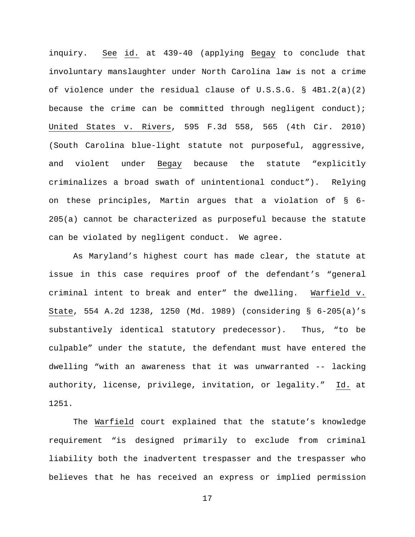inquiry. See id. at 439-40 (applying Begay to conclude that involuntary manslaughter under North Carolina law is not a crime of violence under the residual clause of  $U.S.S.G. \S$  4B1.2(a)(2) because the crime can be committed through negligent conduct); United States v. Rivers, 595 F.3d 558, 565 (4th Cir. 2010) (South Carolina blue-light statute not purposeful, aggressive, and violent under Begay because the statute "explicitly criminalizes a broad swath of unintentional conduct"). Relying on these principles, Martin argues that a violation of § 6- 205(a) cannot be characterized as purposeful because the statute can be violated by negligent conduct. We agree.

As Maryland's highest court has made clear, the statute at issue in this case requires proof of the defendant's "general criminal intent to break and enter" the dwelling. Warfield v. State, 554 A.2d 1238, 1250 (Md. 1989) (considering § 6-205(a)'s substantively identical statutory predecessor). Thus, "to be culpable" under the statute, the defendant must have entered the dwelling "with an awareness that it was unwarranted -- lacking authority, license, privilege, invitation, or legality." Id. at 1251.

The Warfield court explained that the statute's knowledge requirement "is designed primarily to exclude from criminal liability both the inadvertent trespasser and the trespasser who believes that he has received an express or implied permission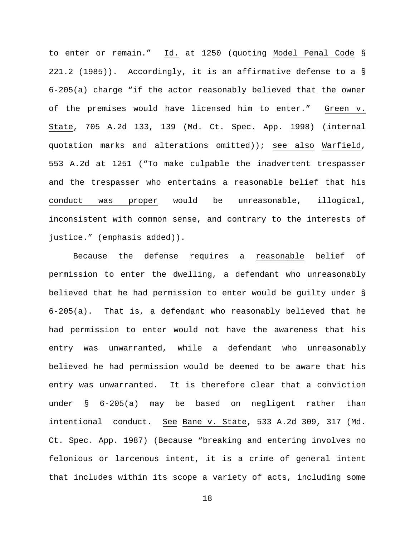to enter or remain." Id. at 1250 (quoting Model Penal Code § 221.2 (1985)). Accordingly, it is an affirmative defense to a § 6-205(a) charge "if the actor reasonably believed that the owner of the premises would have licensed him to enter." Green v. State, 705 A.2d 133, 139 (Md. Ct. Spec. App. 1998) (internal quotation marks and alterations omitted)); see also Warfield, 553 A.2d at 1251 ("To make culpable the inadvertent trespasser and the trespasser who entertains a reasonable belief that his conduct was proper would be unreasonable, illogical, inconsistent with common sense, and contrary to the interests of justice." (emphasis added)).

Because the defense requires a reasonable belief of permission to enter the dwelling, a defendant who unreasonably believed that he had permission to enter would be guilty under § 6-205(a). That is, a defendant who reasonably believed that he had permission to enter would not have the awareness that his entry was unwarranted, while a defendant who unreasonably believed he had permission would be deemed to be aware that his entry was unwarranted. It is therefore clear that a conviction under § 6-205(a) may be based on negligent rather than intentional conduct. See Bane v. State, 533 A.2d 309, 317 (Md. Ct. Spec. App. 1987) (Because "breaking and entering involves no felonious or larcenous intent, it is a crime of general intent that includes within its scope a variety of acts, including some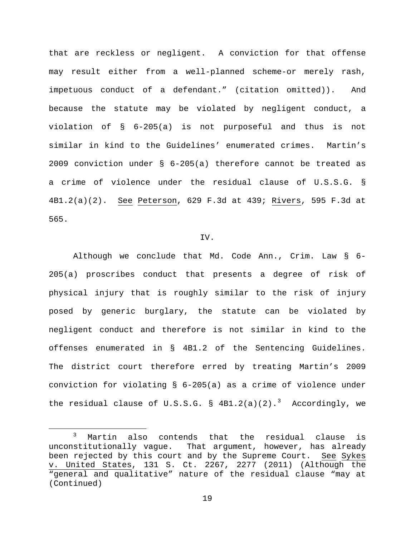that are reckless or negligent. A conviction for that offense may result either from a well-planned scheme-or merely rash, impetuous conduct of a defendant." (citation omitted)). And because the statute may be violated by negligent conduct, a violation of § 6-205(a) is not purposeful and thus is not similar in kind to the Guidelines' enumerated crimes. Martin's 2009 conviction under § 6-205(a) therefore cannot be treated as a crime of violence under the residual clause of U.S.S.G. § 4B1.2(a)(2). See Peterson, 629 F.3d at 439; Rivers, 595 F.3d at 565.

### IV.

Although we conclude that Md. Code Ann., Crim. Law § 6- 205(a) proscribes conduct that presents a degree of risk of physical injury that is roughly similar to the risk of injury posed by generic burglary, the statute can be violated by negligent conduct and therefore is not similar in kind to the offenses enumerated in § 4B1.2 of the Sentencing Guidelines. The district court therefore erred by treating Martin's 2009 conviction for violating § 6-205(a) as a crime of violence under the residual clause of  $U.S.S.G. \$ §  $4B1.2(a)(2).$ <sup>[3](#page-18-0)</sup> Accordingly, we

<span id="page-18-0"></span> <sup>3</sup> Martin also contends that the residual clause is unconstitutionally vague. That argument, however, has already been rejected by this court and by the Supreme Court. See Sykes v. United States, 131 S. Ct. 2267, 2277 (2011) (Although the "general and qualitative" nature of the residual clause "may at (Continued)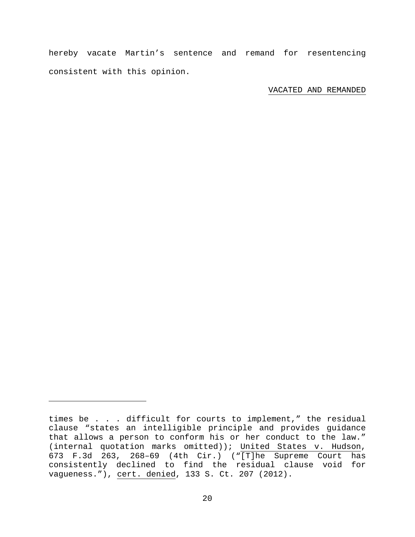hereby vacate Martin's sentence and remand for resentencing consistent with this opinion.

VACATED AND REMANDED

Ĩ.

times be . . . difficult for courts to implement," the residual clause "states an intelligible principle and provides guidance that allows a person to conform his or her conduct to the law." (internal quotation marks omitted)); United States v. Hudson, 673 F.3d 263, 268–69 (4th Cir.) ("[T]he Supreme Court has consistently declined to find the residual clause void for vagueness."), cert. denied, 133 S. Ct. 207 (2012).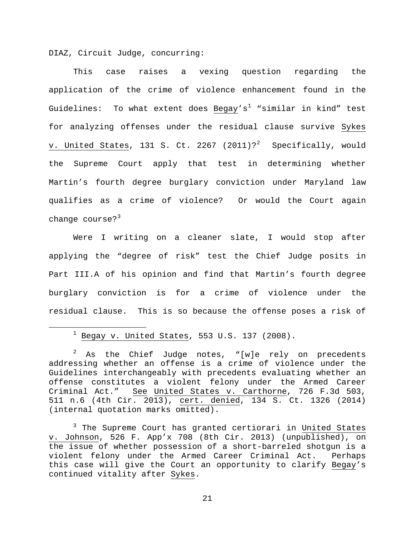DIAZ, Circuit Judge, concurring:

This case raises a vexing question regarding the application of the crime of violence enhancement found in the Guidelines: To what extent does Begay's<sup>[1](#page-20-0)</sup> "similar in kind" test for analyzing offenses under the residual clause survive Sykes <u>v. United States</u>, 131 S. Ct. [2](#page-20-1)267 (2011)? $^{2}$  Specifically, would the Supreme Court apply that test in determining whether Martin's fourth degree burglary conviction under Maryland law qualifies as a crime of violence? Or would the Court again change course? $3^3$  $3^3$ 

Were I writing on a cleaner slate, I would stop after applying the "degree of risk" test the Chief Judge posits in Part III.A of his opinion and find that Martin's fourth degree burglary conviction is for a crime of violence under the residual clause. This is so because the offense poses a risk of

 $1$  Begay v. United States, 553 U.S. 137 (2008).

<span id="page-20-1"></span><span id="page-20-0"></span> $2$  As the Chief Judge notes, "[w]e rely on precedents addressing whether an offense is a crime of violence under the Guidelines interchangeably with precedents evaluating whether an offense constitutes a violent felony under the Armed Career Criminal Act." See United States v. Carthorne, 726 F.3d 503, 511 n.6 (4th Cir. 2013), cert. denied, 134 S. Ct. 1326 (2014) (internal quotation marks omitted).

<span id="page-20-2"></span><sup>&</sup>lt;sup>3</sup> The Supreme Court has granted certiorari in United States v. Johnson, 526 F. App'x 708 (8th Cir. 2013) (unpublished), on the issue of whether possession of a short-barreled shotgun is a violent felony under the Armed Career Criminal Act. Perhaps this case will give the Court an opportunity to clarify Begay's continued vitality after Sykes.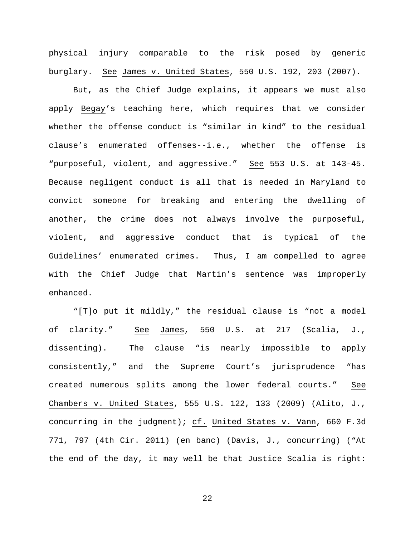physical injury comparable to the risk posed by generic burglary. See James v. United States, 550 U.S. 192, 203 (2007).

But, as the Chief Judge explains, it appears we must also apply Begay's teaching here, which requires that we consider whether the offense conduct is "similar in kind" to the residual clause's enumerated offenses--i.e., whether the offense is "purposeful, violent, and aggressive." See 553 U.S. at 143-45. Because negligent conduct is all that is needed in Maryland to convict someone for breaking and entering the dwelling of another, the crime does not always involve the purposeful, violent, and aggressive conduct that is typical of the Guidelines' enumerated crimes. Thus, I am compelled to agree with the Chief Judge that Martin's sentence was improperly enhanced.

"[T]o put it mildly," the residual clause is "not a model of clarity." See James, 550 U.S. at 217 (Scalia, J., dissenting). The clause "is nearly impossible to apply consistently," and the Supreme Court's jurisprudence "has created numerous splits among the lower federal courts." See Chambers v. United States, 555 U.S. 122, 133 (2009) (Alito, J., concurring in the judgment); cf. United States v. Vann, 660 F.3d 771, 797 (4th Cir. 2011) (en banc) (Davis, J., concurring) ("At the end of the day, it may well be that Justice Scalia is right: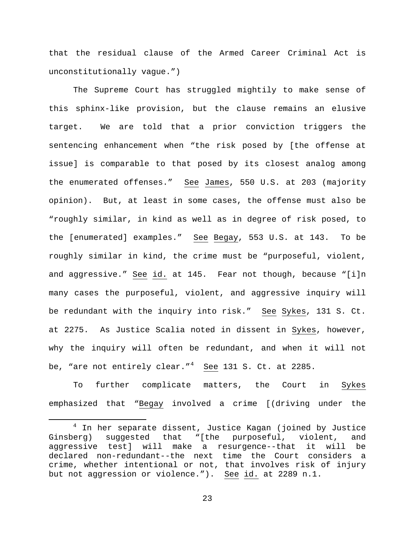that the residual clause of the Armed Career Criminal Act is unconstitutionally vague.")

The Supreme Court has struggled mightily to make sense of this sphinx-like provision, but the clause remains an elusive target. We are told that a prior conviction triggers the sentencing enhancement when "the risk posed by [the offense at issue] is comparable to that posed by its closest analog among the enumerated offenses." See James, 550 U.S. at 203 (majority opinion). But, at least in some cases, the offense must also be "roughly similar, in kind as well as in degree of risk posed, to the [enumerated] examples." See Begay, 553 U.S. at 143. To be roughly similar in kind, the crime must be "purposeful, violent, and aggressive." See id. at 145. Fear not though, because "[i]n many cases the purposeful, violent, and aggressive inquiry will be redundant with the inquiry into risk." See Sykes, 131 S. Ct. at 2275. As Justice Scalia noted in dissent in Sykes, however, why the inquiry will often be redundant, and when it will not be, "are not entirely clear."<sup>[4](#page-22-0)</sup> See 131 S. Ct. at 2285.

To further complicate matters, the Court in Sykes emphasized that "Begay involved a crime [(driving under the

<span id="page-22-0"></span> <sup>4</sup> In her separate dissent, Justice Kagan (joined by Justice Ginsberg) suggested that "[the purposeful, violent, and aggressive test] will make a resurgence--that it will be declared non-redundant--the next time the Court considers a crime, whether intentional or not, that involves risk of injury but not aggression or violence."). See id. at 2289 n.1.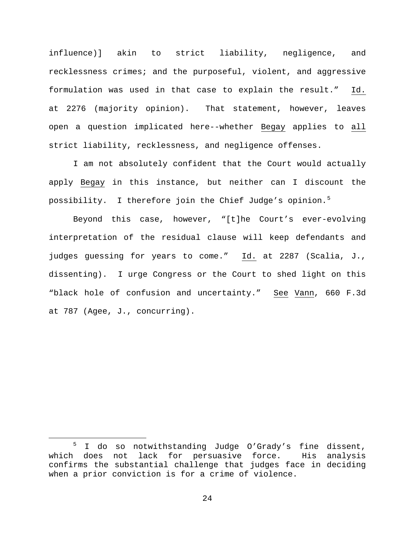influence)] akin to strict liability, negligence, and recklessness crimes; and the purposeful, violent, and aggressive formulation was used in that case to explain the result." Id. at 2276 (majority opinion). That statement, however, leaves open a question implicated here--whether Begay applies to all strict liability, recklessness, and negligence offenses.

I am not absolutely confident that the Court would actually apply Begay in this instance, but neither can I discount the possibility. I therefore join the Chief Judge's opinion.<sup>[5](#page-23-0)</sup>

Beyond this case, however, "[t]he Court's ever-evolving interpretation of the residual clause will keep defendants and judges guessing for years to come." Id. at 2287 (Scalia, J., dissenting). I urge Congress or the Court to shed light on this "black hole of confusion and uncertainty." See Vann, 660 F.3d at 787 (Agee, J., concurring).

<span id="page-23-0"></span> <sup>5</sup> I do so notwithstanding Judge O'Grady's fine dissent, which does not lack for persuasive force. His analysis confirms the substantial challenge that judges face in deciding when a prior conviction is for a crime of violence.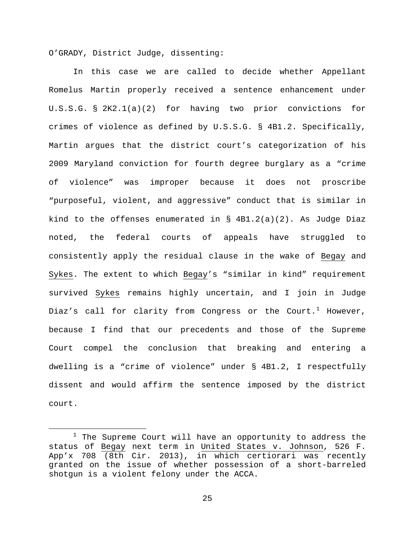O'GRADY, District Judge, dissenting:

In this case we are called to decide whether Appellant Romelus Martin properly received a sentence enhancement under U.S.S.G. § 2K2.1(a)(2) for having two prior convictions for crimes of violence as defined by U.S.S.G. § 4B1.2. Specifically, Martin argues that the district court's categorization of his 2009 Maryland conviction for fourth degree burglary as a "crime of violence" was improper because it does not proscribe "purposeful, violent, and aggressive" conduct that is similar in kind to the offenses enumerated in  $\S$  4B1.2(a)(2). As Judge Diaz noted, the federal courts of appeals have struggled to consistently apply the residual clause in the wake of Begay and Sykes. The extent to which Begay's "similar in kind" requirement survived Sykes remains highly uncertain, and I join in Judge Diaz's call for clarity from Congress or the Court.<sup>[1](#page-24-0)</sup> However, because I find that our precedents and those of the Supreme Court compel the conclusion that breaking and entering a dwelling is a "crime of violence" under § 4B1.2, I respectfully dissent and would affirm the sentence imposed by the district court.

<span id="page-24-0"></span> $1$  The Supreme Court will have an opportunity to address the status of Begay next term in United States v. Johnson, 526 F. App'x 708 (8th Cir. 2013), in which certiorari was recently granted on the issue of whether possession of a short-barreled shotgun is a violent felony under the ACCA.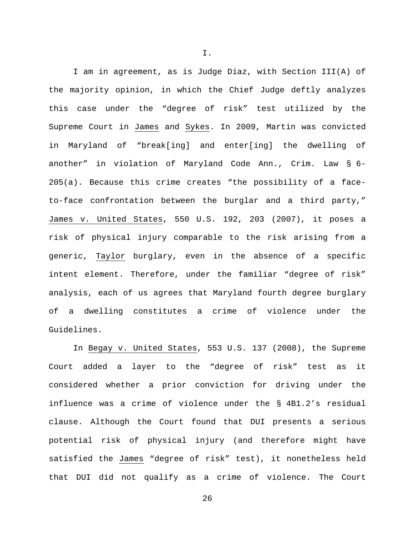I am in agreement, as is Judge Diaz, with Section III(A) of the majority opinion, in which the Chief Judge deftly analyzes this case under the "degree of risk" test utilized by the Supreme Court in James and Sykes. In 2009, Martin was convicted in Maryland of "break[ing] and enter[ing] the dwelling of another" in violation of Maryland Code Ann., Crim. Law § 6- 205(a). Because this crime creates "the possibility of a faceto-face confrontation between the burglar and a third party," James v. United States, 550 U.S. 192, 203 (2007), it poses a risk of physical injury comparable to the risk arising from a generic, Taylor burglary, even in the absence of a specific intent element. Therefore, under the familiar "degree of risk" analysis, each of us agrees that Maryland fourth degree burglary of a dwelling constitutes a crime of violence under the Guidelines.

In Begay v. United States, 553 U.S. 137 (2008), the Supreme Court added a layer to the "degree of risk" test as it considered whether a prior conviction for driving under the influence was a crime of violence under the § 4B1.2's residual clause. Although the Court found that DUI presents a serious potential risk of physical injury (and therefore might have satisfied the James "degree of risk" test), it nonetheless held that DUI did not qualify as a crime of violence. The Court

I.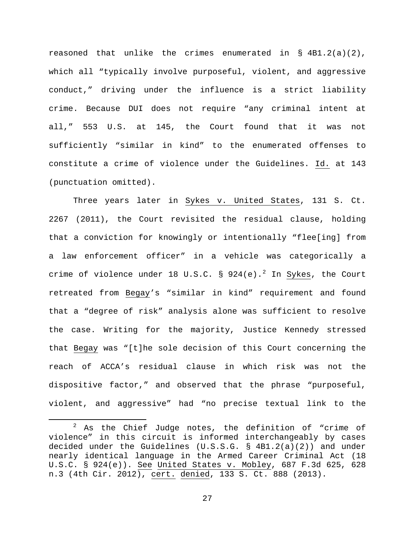reasoned that unlike the crimes enumerated in § 4B1.2(a)(2), which all "typically involve purposeful, violent, and aggressive conduct," driving under the influence is a strict liability crime. Because DUI does not require "any criminal intent at all," 553 U.S. at 145, the Court found that it was not sufficiently "similar in kind" to the enumerated offenses to constitute a crime of violence under the Guidelines. Id. at 143 (punctuation omitted).

Three years later in Sykes v. United States, 131 S. Ct. 2267 (2011), the Court revisited the residual clause, holding that a conviction for knowingly or intentionally "flee[ing] from a law enforcement officer" in a vehicle was categorically a crime of violence under 18 U.S.C. § 9[2](#page-26-0)4(e).<sup>2</sup> In Sykes, the Court retreated from Begay's "similar in kind" requirement and found that a "degree of risk" analysis alone was sufficient to resolve the case. Writing for the majority, Justice Kennedy stressed that Begay was "[t]he sole decision of this Court concerning the reach of ACCA's residual clause in which risk was not the dispositive factor," and observed that the phrase "purposeful, violent, and aggressive" had "no precise textual link to the

<span id="page-26-0"></span> $2$  As the Chief Judge notes, the definition of "crime of violence" in this circuit is informed interchangeably by cases decided under the Guidelines (U.S.S.G. § 4B1.2(a)(2)) and under nearly identical language in the Armed Career Criminal Act (18 U.S.C. § 924(e)). See United States v. Mobley, 687 F.3d 625, 628 n.3 (4th Cir. 2012), cert. denied, 133 S. Ct. 888 (2013).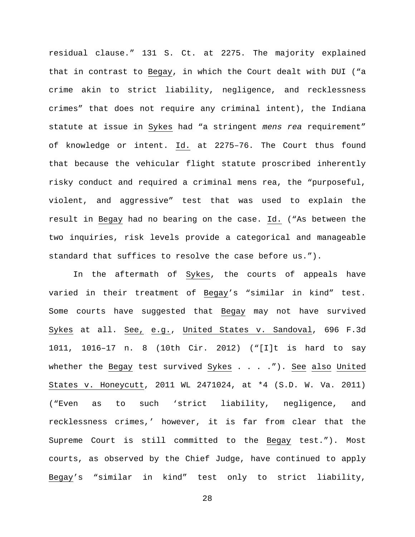residual clause." 131 S. Ct. at 2275. The majority explained that in contrast to Begay, in which the Court dealt with DUI ("a crime akin to strict liability, negligence, and recklessness crimes" that does not require any criminal intent), the Indiana statute at issue in Sykes had "a stringent *mens rea* requirement" of knowledge or intent. Id. at 2275–76. The Court thus found that because the vehicular flight statute proscribed inherently risky conduct and required a criminal mens rea, the "purposeful, violent, and aggressive" test that was used to explain the result in Begay had no bearing on the case. Id. ("As between the two inquiries, risk levels provide a categorical and manageable standard that suffices to resolve the case before us.").

In the aftermath of Sykes, the courts of appeals have varied in their treatment of Begay's "similar in kind" test. Some courts have suggested that Begay may not have survived Sykes at all. See, e.g., United States v. Sandoval, 696 F.3d 1011, 1016–17 n. 8 (10th Cir. 2012) ("[I]t is hard to say whether the Begay test survived  $\frac{System}{System}$ . . . . . "). See also United States v. Honeycutt, 2011 WL 2471024, at \*4 (S.D. W. Va. 2011) ("Even as to such 'strict liability, negligence, and recklessness crimes,' however, it is far from clear that the Supreme Court is still committed to the Begay test."). Most courts, as observed by the Chief Judge, have continued to apply Begay's "similar in kind" test only to strict liability,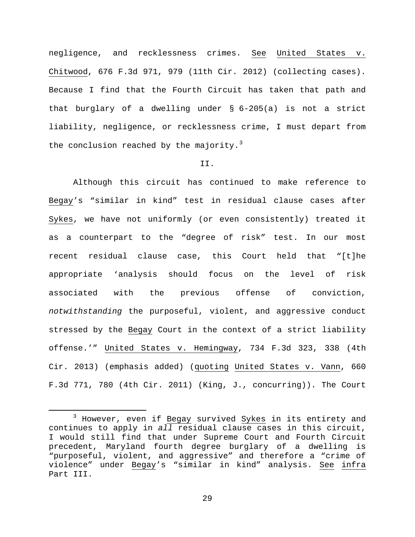negligence, and recklessness crimes. See United States v. Chitwood, 676 F.3d 971, 979 (11th Cir. 2012) (collecting cases). Because I find that the Fourth Circuit has taken that path and that burglary of a dwelling under § 6-205(a) is not a strict liability, negligence, or recklessness crime, I must depart from the conclusion reached by the majority.<sup>[3](#page-28-0)</sup>

## II.

Although this circuit has continued to make reference to Begay's "similar in kind" test in residual clause cases after Sykes, we have not uniformly (or even consistently) treated it as a counterpart to the "degree of risk" test. In our most recent residual clause case, this Court held that "[t]he appropriate 'analysis should focus on the level of risk associated with the previous offense of conviction, *notwithstanding* the purposeful, violent, and aggressive conduct stressed by the Begay Court in the context of a strict liability offense.'" United States v. Hemingway, 734 F.3d 323, 338 (4th Cir. 2013) (emphasis added) (quoting United States v. Vann, 660 F.3d 771, 780 (4th Cir. 2011) (King, J., concurring)). The Court

<span id="page-28-0"></span> <sup>3</sup> However, even if Begay survived Sykes in its entirety and continues to apply in *all* residual clause cases in this circuit, I would still find that under Supreme Court and Fourth Circuit precedent, Maryland fourth degree burglary of a dwelling is "purposeful, violent, and aggressive" and therefore a "crime of violence" under Begay's "similar in kind" analysis. See infra Part III.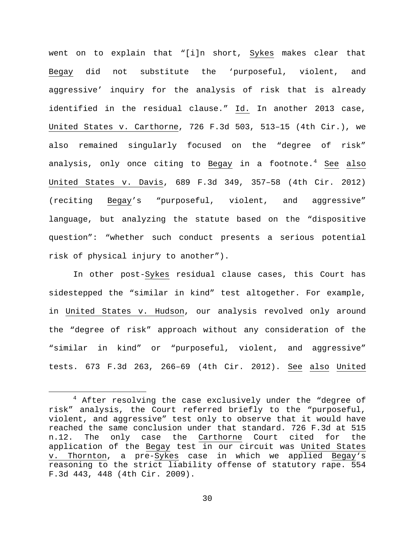went on to explain that "[i]n short, Sykes makes clear that Begay did not substitute the 'purposeful, violent, and aggressive' inquiry for the analysis of risk that is already identified in the residual clause." Id. In another 2013 case, United States v. Carthorne, 726 F.3d 503, 513–15 (4th Cir.), we also remained singularly focused on the "degree of risk" analysis, only once citing to Begay in a footnote.<sup>[4](#page-29-0)</sup> See also United States v. Davis, 689 F.3d 349, 357–58 (4th Cir. 2012) (reciting Begay's "purposeful, violent, and aggressive" language, but analyzing the statute based on the "dispositive question": "whether such conduct presents a serious potential risk of physical injury to another").

In other post-Sykes residual clause cases, this Court has sidestepped the "similar in kind" test altogether. For example, in United States v. Hudson, our analysis revolved only around the "degree of risk" approach without any consideration of the "similar in kind" or "purposeful, violent, and aggressive" tests. 673 F.3d 263, 266–69 (4th Cir. 2012). See also United

<span id="page-29-0"></span><sup>&</sup>lt;sup>4</sup> After resolving the case exclusively under the "degree of risk" analysis, the Court referred briefly to the "purposeful, violent, and aggressive" test only to observe that it would have reached the same conclusion under that standard. 726 F.3d at 515 n.12. The only case the Carthorne Court cited for the application of the Begay test in our circuit was United States v. Thornton, a pre-Sykes case in which we applied Begay's reasoning to the strict liability offense of statutory rape. 554 F.3d 443, 448 (4th Cir. 2009).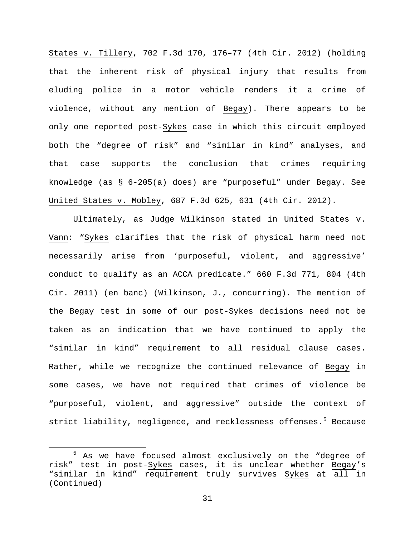States v. Tillery, 702 F.3d 170, 176–77 (4th Cir. 2012) (holding that the inherent risk of physical injury that results from eluding police in a motor vehicle renders it a crime of violence, without any mention of Begay). There appears to be only one reported post-Sykes case in which this circuit employed both the "degree of risk" and "similar in kind" analyses, and that case supports the conclusion that crimes requiring knowledge (as § 6-205(a) does) are "purposeful" under Begay. See United States v. Mobley, 687 F.3d 625, 631 (4th Cir. 2012).

Ultimately, as Judge Wilkinson stated in United States v. Vann: "Sykes clarifies that the risk of physical harm need not necessarily arise from 'purposeful, violent, and aggressive' conduct to qualify as an ACCA predicate." 660 F.3d 771, 804 (4th Cir. 2011) (en banc) (Wilkinson, J., concurring). The mention of the Begay test in some of our post-Sykes decisions need not be taken as an indication that we have continued to apply the "similar in kind" requirement to all residual clause cases. Rather, while we recognize the continued relevance of Begay in some cases, we have not required that crimes of violence be "purposeful, violent, and aggressive" outside the context of strict liability, negligence, and recklessness offenses.<sup>[5](#page-30-0)</sup> Because

<span id="page-30-0"></span> <sup>5</sup> As we have focused almost exclusively on the "degree of risk" test in post-Sykes cases, it is unclear whether Begay's "similar in kind" requirement truly survives Sykes at all in (Continued)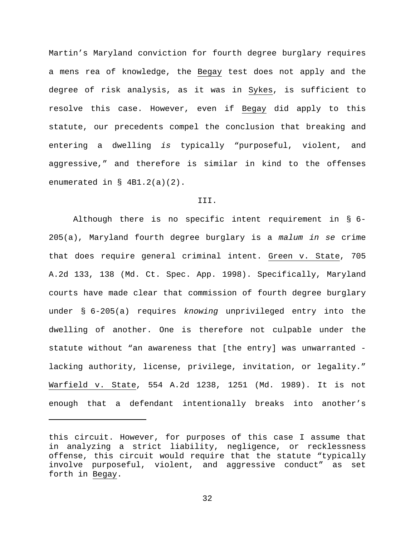Martin's Maryland conviction for fourth degree burglary requires a mens rea of knowledge, the Begay test does not apply and the degree of risk analysis, as it was in Sykes, is sufficient to resolve this case. However, even if Begay did apply to this statute, our precedents compel the conclusion that breaking and entering a dwelling *is* typically "purposeful, violent, and aggressive," and therefore is similar in kind to the offenses enumerated in § 4B1.2(a)(2).

## III.

Although there is no specific intent requirement in § 6- 205(a), Maryland fourth degree burglary is a *malum in se* crime that does require general criminal intent. Green v. State, 705 A.2d 133, 138 (Md. Ct. Spec. App. 1998). Specifically, Maryland courts have made clear that commission of fourth degree burglary under § 6-205(a) requires *knowing* unprivileged entry into the dwelling of another. One is therefore not culpable under the statute without "an awareness that [the entry] was unwarranted lacking authority, license, privilege, invitation, or legality." Warfield v. State, 554 A.2d 1238, 1251 (Md. 1989). It is not enough that a defendant intentionally breaks into another's

Ĩ.

this circuit. However, for purposes of this case I assume that in analyzing a strict liability, negligence, or recklessness offense, this circuit would require that the statute "typically involve purposeful, violent, and aggressive conduct" as set forth in Begay.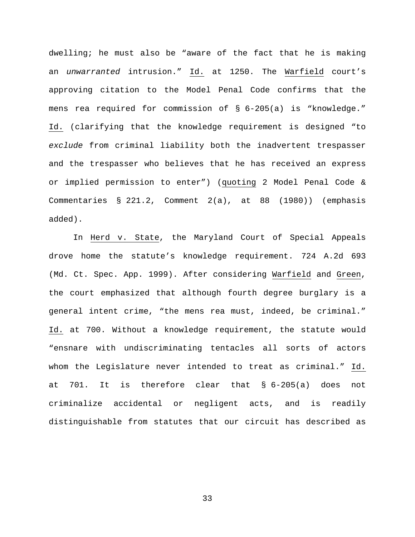dwelling; he must also be "aware of the fact that he is making an *unwarranted* intrusion." Id. at 1250. The Warfield court's approving citation to the Model Penal Code confirms that the mens rea required for commission of  $\S$  6-205(a) is "knowledge." Id. (clarifying that the knowledge requirement is designed "to *exclude* from criminal liability both the inadvertent trespasser and the trespasser who believes that he has received an express or implied permission to enter") (quoting 2 Model Penal Code & Commentaries § 221.2, Comment 2(a), at 88 (1980)) (emphasis added).

In Herd v. State, the Maryland Court of Special Appeals drove home the statute's knowledge requirement. 724 A.2d 693 (Md. Ct. Spec. App. 1999). After considering Warfield and Green, the court emphasized that although fourth degree burglary is a general intent crime, "the mens rea must, indeed, be criminal." Id. at 700. Without a knowledge requirement, the statute would "ensnare with undiscriminating tentacles all sorts of actors whom the Legislature never intended to treat as criminal." Id. at 701. It is therefore clear that § 6-205(a) does not criminalize accidental or negligent acts, and is readily distinguishable from statutes that our circuit has described as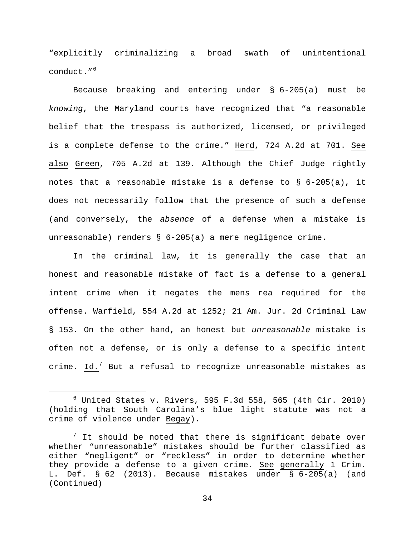"explicitly criminalizing a broad swath of unintentional conduct."[6](#page-33-0)

Because breaking and entering under § 6-205(a) must be *knowing*, the Maryland courts have recognized that "a reasonable belief that the trespass is authorized, licensed, or privileged is a complete defense to the crime." Herd, 724 A.2d at 701. See also Green, 705 A.2d at 139. Although the Chief Judge rightly notes that a reasonable mistake is a defense to § 6-205(a), it does not necessarily follow that the presence of such a defense (and conversely, the *absence* of a defense when a mistake is unreasonable) renders § 6-205(a) a mere negligence crime.

In the criminal law, it is generally the case that an honest and reasonable mistake of fact is a defense to a general intent crime when it negates the mens rea required for the offense. Warfield, 554 A.2d at 1252; 21 Am. Jur. 2d Criminal Law § 153. On the other hand, an honest but *unreasonable* mistake is often not a defense, or is only a defense to a specific intent crime. Id.<sup>[7](#page-33-1)</sup> But a refusal to recognize unreasonable mistakes as

<span id="page-33-0"></span> $6$  United States v. Rivers, 595 F.3d 558, 565 (4th Cir. 2010) (holding that South Carolina's blue light statute was not a crime of violence under Begay).

<span id="page-33-1"></span> $\frac{7}{1}$  It should be noted that there is significant debate over whether "unreasonable" mistakes should be further classified as either "negligent" or "reckless" in order to determine whether they provide a defense to a given crime. See generally 1 Crim. L. Def. § 62 (2013). Because mistakes under § 6-205(a) (and (Continued)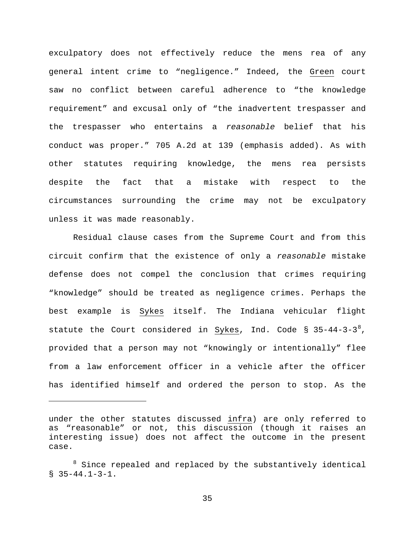exculpatory does not effectively reduce the mens rea of any general intent crime to "negligence." Indeed, the Green court saw no conflict between careful adherence to "the knowledge requirement" and excusal only of "the inadvertent trespasser and the trespasser who entertains a *reasonable* belief that his conduct was proper." 705 A.2d at 139 (emphasis added). As with other statutes requiring knowledge, the mens rea persists despite the fact that a mistake with respect to the circumstances surrounding the crime may not be exculpatory unless it was made reasonably.

Residual clause cases from the Supreme Court and from this circuit confirm that the existence of only a *reasonable* mistake defense does not compel the conclusion that crimes requiring "knowledge" should be treated as negligence crimes. Perhaps the best example is Sykes itself. The Indiana vehicular flight statute the Court considered in <u>Sykes</u>, Ind. Code § 35-44-3-3<sup>[8](#page-34-0)</sup>, provided that a person may not "knowingly or intentionally" flee from a law enforcement officer in a vehicle after the officer has identified himself and ordered the person to stop. As the

Ĩ.

under the other statutes discussed infra) are only referred to as "reasonable" or not, this discussion (though it raises an interesting issue) does not affect the outcome in the present case.

<span id="page-34-0"></span><sup>&</sup>lt;sup>8</sup> Since repealed and replaced by the substantively identical  $$35-44.1-3-1.$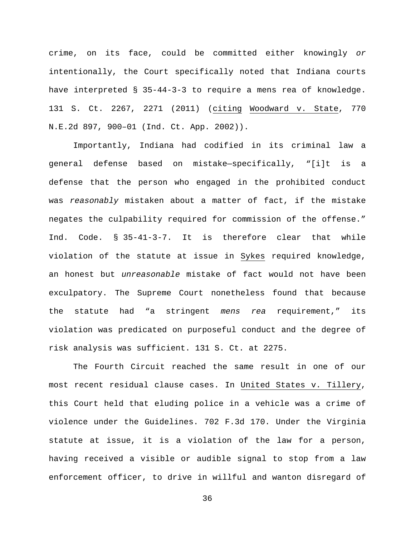crime, on its face, could be committed either knowingly *or* intentionally, the Court specifically noted that Indiana courts have interpreted § 35-44-3-3 to require a mens rea of knowledge. 131 S. Ct. 2267, 2271 (2011) (citing Woodward v. State, 770 N.E.2d 897, 900–01 (Ind. Ct. App. 2002)).

Importantly, Indiana had codified in its criminal law a general defense based on mistake—specifically, "[i]t is a defense that the person who engaged in the prohibited conduct was *reasonably* mistaken about a matter of fact, if the mistake negates the culpability required for commission of the offense." Ind. Code. § 35-41-3-7. It is therefore clear that while violation of the statute at issue in Sykes required knowledge, an honest but *unreasonable* mistake of fact would not have been exculpatory. The Supreme Court nonetheless found that because the statute had "a stringent *mens rea* requirement," its violation was predicated on purposeful conduct and the degree of risk analysis was sufficient. 131 S. Ct. at 2275.

The Fourth Circuit reached the same result in one of our most recent residual clause cases. In United States v. Tillery, this Court held that eluding police in a vehicle was a crime of violence under the Guidelines. 702 F.3d 170. Under the Virginia statute at issue, it is a violation of the law for a person, having received a visible or audible signal to stop from a law enforcement officer, to drive in willful and wanton disregard of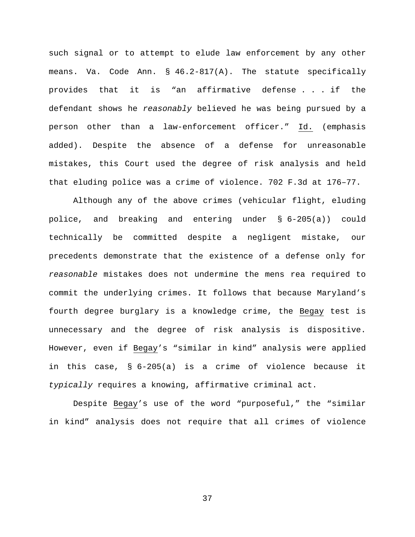such signal or to attempt to elude law enforcement by any other means. Va. Code Ann. § 46.2-817(A). The statute specifically provides that it is "an affirmative defense . . . if the defendant shows he *reasonably* believed he was being pursued by a person other than a law-enforcement officer." Id. (emphasis added). Despite the absence of a defense for unreasonable mistakes, this Court used the degree of risk analysis and held that eluding police was a crime of violence. 702 F.3d at 176–77.

Although any of the above crimes (vehicular flight, eluding police, and breaking and entering under § 6-205(a)) could technically be committed despite a negligent mistake, our precedents demonstrate that the existence of a defense only for *reasonable* mistakes does not undermine the mens rea required to commit the underlying crimes. It follows that because Maryland's fourth degree burglary is a knowledge crime, the Begay test is unnecessary and the degree of risk analysis is dispositive. However, even if Begay's "similar in kind" analysis were applied in this case, § 6-205(a) is a crime of violence because it *typically* requires a knowing, affirmative criminal act.

Despite Begay's use of the word "purposeful," the "similar in kind" analysis does not require that all crimes of violence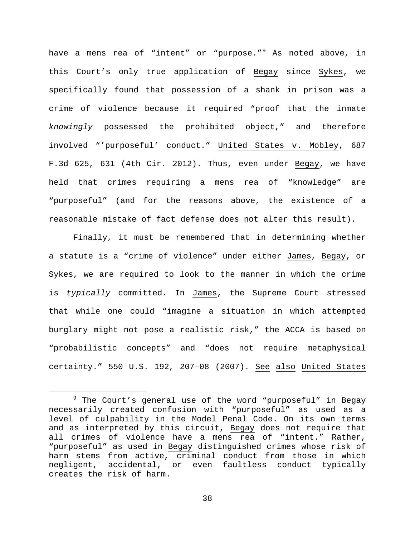have a mens rea of "intent" or "purpose."<sup>[9](#page-37-0)</sup> As noted above, in this Court's only true application of Begay since Sykes, we specifically found that possession of a shank in prison was a crime of violence because it required "proof that the inmate *knowingly* possessed the prohibited object," and therefore involved "'purposeful' conduct." United States v. Mobley, 687 F.3d 625, 631 (4th Cir. 2012). Thus, even under Begay, we have held that crimes requiring a mens rea of "knowledge" are "purposeful" (and for the reasons above, the existence of a reasonable mistake of fact defense does not alter this result).

Finally, it must be remembered that in determining whether a statute is a "crime of violence" under either James, Begay, or Sykes, we are required to look to the manner in which the crime is *typically* committed. In James, the Supreme Court stressed that while one could "imagine a situation in which attempted burglary might not pose a realistic risk," the ACCA is based on "probabilistic concepts" and "does not require metaphysical certainty." 550 U.S. 192, 207–08 (2007). See also United States

<span id="page-37-0"></span> $9$  The Court's general use of the word "purposeful" in Begay necessarily created confusion with "purposeful" as used as a level of culpability in the Model Penal Code. On its own terms and as interpreted by this circuit, Begay does not require that all crimes of violence have a mens rea of "intent." Rather, "purposeful" as used in Begay distinguished crimes whose risk of harm stems from active, criminal conduct from those in which<br>negligent, accidental, or even faultless conduct typically or even faultless conduct typically creates the risk of harm.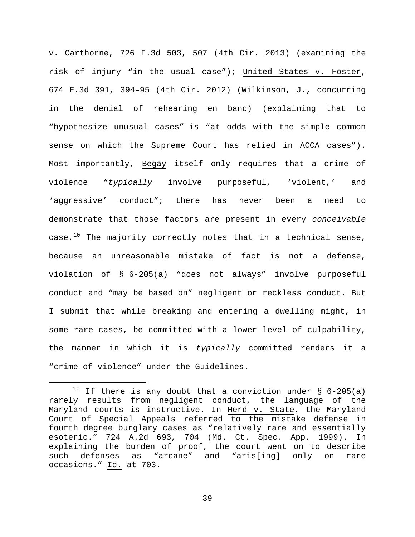v. Carthorne, 726 F.3d 503, 507 (4th Cir. 2013) (examining the risk of injury "in the usual case"); United States v. Foster, 674 F.3d 391, 394–95 (4th Cir. 2012) (Wilkinson, J., concurring in the denial of rehearing en banc) (explaining that to "hypothesize unusual cases" is "at odds with the simple common sense on which the Supreme Court has relied in ACCA cases"). Most importantly, Begay itself only requires that a crime of violence "*typically* involve purposeful, 'violent,' and 'aggressive' conduct"; there has never been a need to demonstrate that those factors are present in every *conceivable* case. $10$  The majority correctly notes that in a technical sense, because an unreasonable mistake of fact is not a defense, violation of § 6-205(a) "does not always" involve purposeful conduct and "may be based on" negligent or reckless conduct. But I submit that while breaking and entering a dwelling might, in some rare cases, be committed with a lower level of culpability, the manner in which it is *typically* committed renders it a "crime of violence" under the Guidelines.

<span id="page-38-0"></span><sup>&</sup>lt;sup>10</sup> If there is any doubt that a conviction under  $\S$  6-205(a) rarely results from negligent conduct, the language of the Maryland courts is instructive. In Herd v. State, the Maryland Court of Special Appeals referred to the mistake defense in fourth degree burglary cases as "relatively rare and essentially esoteric." 724 A.2d 693, 704 (Md. Ct. Spec. App. 1999). In explaining the burden of proof, the court went on to describe such defenses as "arcane" and "aris[ing] only on rare occasions." Id. at 703.